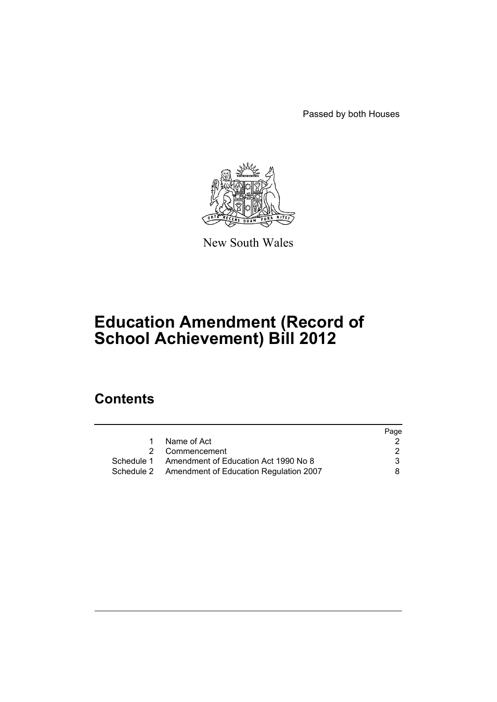Passed by both Houses



New South Wales

# **Education Amendment (Record of School Achievement) Bill 2012**

# **Contents**

|                                                   | Page |
|---------------------------------------------------|------|
| Name of Act                                       |      |
| 2 Commencement                                    |      |
| Schedule 1 Amendment of Education Act 1990 No 8   | 3    |
| Schedule 2 Amendment of Education Regulation 2007 | 8.   |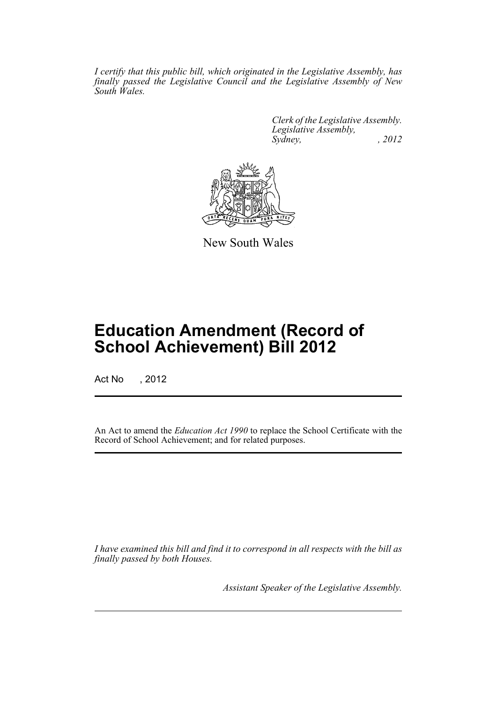*I certify that this public bill, which originated in the Legislative Assembly, has finally passed the Legislative Council and the Legislative Assembly of New South Wales.*

> *Clerk of the Legislative Assembly. Legislative Assembly, Sydney, , 2012*



New South Wales

# **Education Amendment (Record of School Achievement) Bill 2012**

Act No , 2012

An Act to amend the *Education Act 1990* to replace the School Certificate with the Record of School Achievement; and for related purposes.

*I have examined this bill and find it to correspond in all respects with the bill as finally passed by both Houses.*

*Assistant Speaker of the Legislative Assembly.*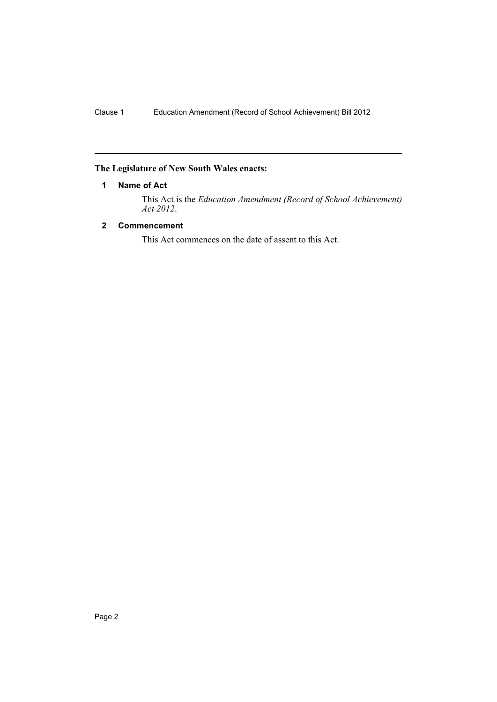## <span id="page-3-0"></span>**The Legislature of New South Wales enacts:**

## **1 Name of Act**

This Act is the *Education Amendment (Record of School Achievement) Act 2012*.

## <span id="page-3-1"></span>**2 Commencement**

This Act commences on the date of assent to this Act.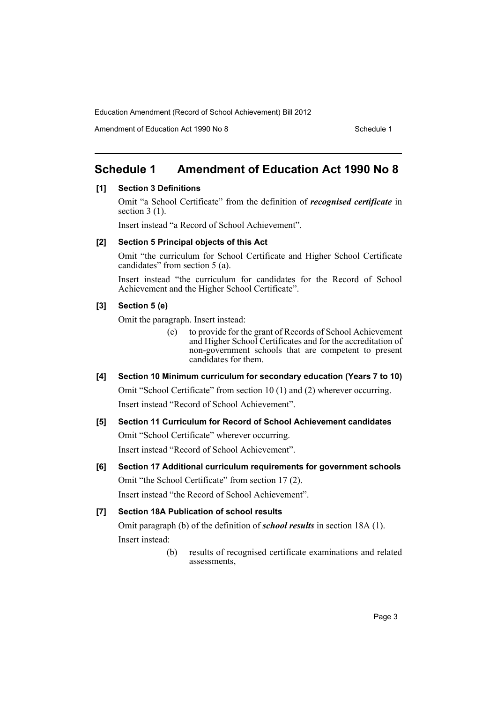Amendment of Education Act 1990 No 8 Schedule 1

# <span id="page-4-0"></span>**Schedule 1 Amendment of Education Act 1990 No 8**

#### **[1] Section 3 Definitions**

Omit "a School Certificate" from the definition of *recognised certificate* in section 3 (1).

Insert instead "a Record of School Achievement".

## **[2] Section 5 Principal objects of this Act**

Omit "the curriculum for School Certificate and Higher School Certificate candidates" from section 5 (a).

Insert instead "the curriculum for candidates for the Record of School Achievement and the Higher School Certificate".

## **[3] Section 5 (e)**

Omit the paragraph. Insert instead:

- (e) to provide for the grant of Records of School Achievement and Higher School Certificates and for the accreditation of non-government schools that are competent to present candidates for them.
- **[4] Section 10 Minimum curriculum for secondary education (Years 7 to 10)** Omit "School Certificate" from section 10 (1) and (2) wherever occurring. Insert instead "Record of School Achievement".

# **[5] Section 11 Curriculum for Record of School Achievement candidates**  Omit "School Certificate" wherever occurring.

Insert instead "Record of School Achievement".

**[6] Section 17 Additional curriculum requirements for government schools** Omit "the School Certificate" from section 17 (2).

Insert instead "the Record of School Achievement".

# **[7] Section 18A Publication of school results**

Omit paragraph (b) of the definition of *school results* in section 18A (1). Insert instead:

> (b) results of recognised certificate examinations and related assessments,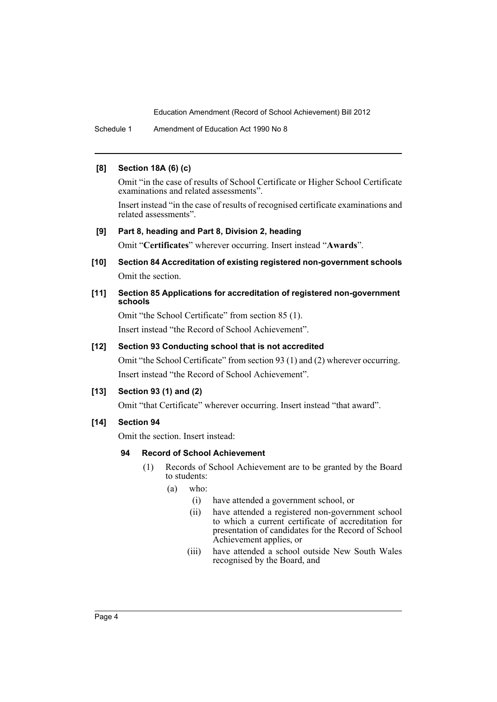Schedule 1 Amendment of Education Act 1990 No 8

#### **[8] Section 18A (6) (c)**

Omit "in the case of results of School Certificate or Higher School Certificate examinations and related assessments".

Insert instead "in the case of results of recognised certificate examinations and related assessments".

#### **[9] Part 8, heading and Part 8, Division 2, heading**

Omit "**Certificates**" wherever occurring. Insert instead "**Awards**".

**[10] Section 84 Accreditation of existing registered non-government schools** Omit the section.

#### **[11] Section 85 Applications for accreditation of registered non-government schools**

Omit "the School Certificate" from section 85 (1). Insert instead "the Record of School Achievement".

#### **[12] Section 93 Conducting school that is not accredited**

Omit "the School Certificate" from section 93 (1) and (2) wherever occurring. Insert instead "the Record of School Achievement".

#### **[13] Section 93 (1) and (2)**

Omit "that Certificate" wherever occurring. Insert instead "that award".

### **[14] Section 94**

Omit the section. Insert instead:

#### **94 Record of School Achievement**

- (1) Records of School Achievement are to be granted by the Board to students:
	- (a) who:
		- (i) have attended a government school, or
		- (ii) have attended a registered non-government school to which a current certificate of accreditation for presentation of candidates for the Record of School Achievement applies, or
		- (iii) have attended a school outside New South Wales recognised by the Board, and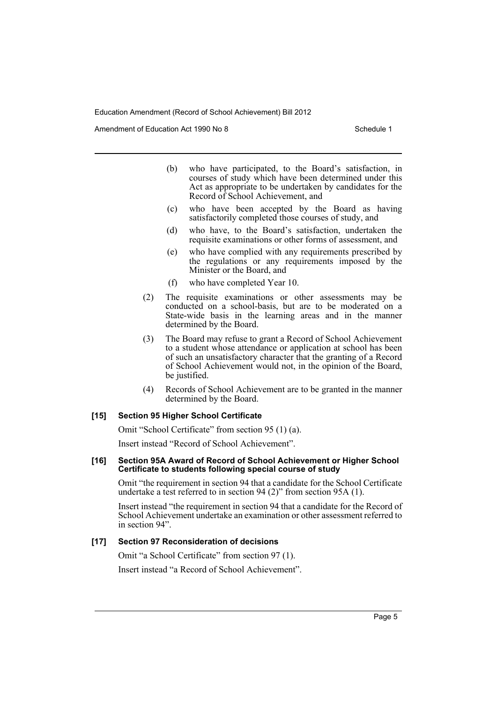Amendment of Education Act 1990 No 8 Schedule 1

- (b) who have participated, to the Board's satisfaction, in courses of study which have been determined under this Act as appropriate to be undertaken by candidates for the Record of School Achievement, and
- (c) who have been accepted by the Board as having satisfactorily completed those courses of study, and
- (d) who have, to the Board's satisfaction, undertaken the requisite examinations or other forms of assessment, and
- (e) who have complied with any requirements prescribed by the regulations or any requirements imposed by the Minister or the Board, and
- (f) who have completed Year 10.
- (2) The requisite examinations or other assessments may be conducted on a school-basis, but are to be moderated on a State-wide basis in the learning areas and in the manner determined by the Board.
- (3) The Board may refuse to grant a Record of School Achievement to a student whose attendance or application at school has been of such an unsatisfactory character that the granting of a Record of School Achievement would not, in the opinion of the Board, be justified.
- (4) Records of School Achievement are to be granted in the manner determined by the Board.

#### **[15] Section 95 Higher School Certificate**

Omit "School Certificate" from section 95 (1) (a).

Insert instead "Record of School Achievement".

#### **[16] Section 95A Award of Record of School Achievement or Higher School Certificate to students following special course of study**

Omit "the requirement in section 94 that a candidate for the School Certificate undertake a test referred to in section 94 (2)" from section 95A (1).

Insert instead "the requirement in section 94 that a candidate for the Record of School Achievement undertake an examination or other assessment referred to in section 94".

#### **[17] Section 97 Reconsideration of decisions**

Omit "a School Certificate" from section 97 (1).

Insert instead "a Record of School Achievement".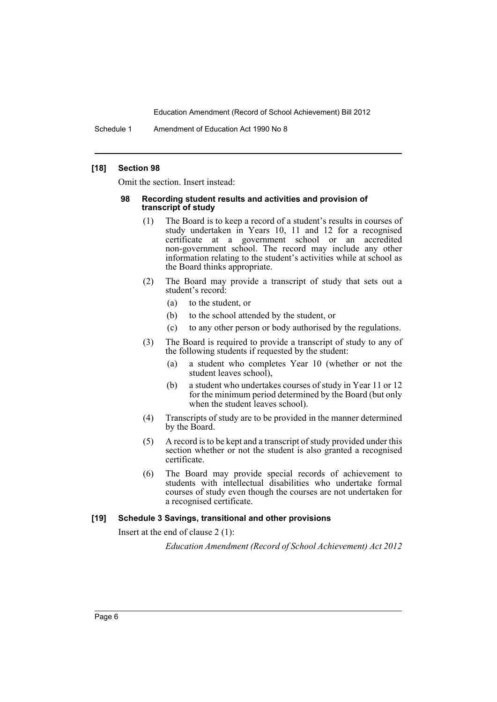Schedule 1 Amendment of Education Act 1990 No 8

#### **[18] Section 98**

Omit the section. Insert instead:

#### **98 Recording student results and activities and provision of transcript of study**

- (1) The Board is to keep a record of a student's results in courses of study undertaken in Years 10, 11 and 12 for a recognised certificate at a government school or an accredited non-government school. The record may include any other information relating to the student's activities while at school as the Board thinks appropriate.
- (2) The Board may provide a transcript of study that sets out a student's record:
	- (a) to the student, or
	- (b) to the school attended by the student, or
	- (c) to any other person or body authorised by the regulations.
- (3) The Board is required to provide a transcript of study to any of the following students if requested by the student:
	- (a) a student who completes Year 10 (whether or not the student leaves school),
	- (b) a student who undertakes courses of study in Year 11 or 12 for the minimum period determined by the Board (but only when the student leaves school).
- (4) Transcripts of study are to be provided in the manner determined by the Board.
- (5) A record is to be kept and a transcript of study provided under this section whether or not the student is also granted a recognised certificate.
- (6) The Board may provide special records of achievement to students with intellectual disabilities who undertake formal courses of study even though the courses are not undertaken for a recognised certificate.

#### **[19] Schedule 3 Savings, transitional and other provisions**

Insert at the end of clause 2 (1):

*Education Amendment (Record of School Achievement) Act 2012*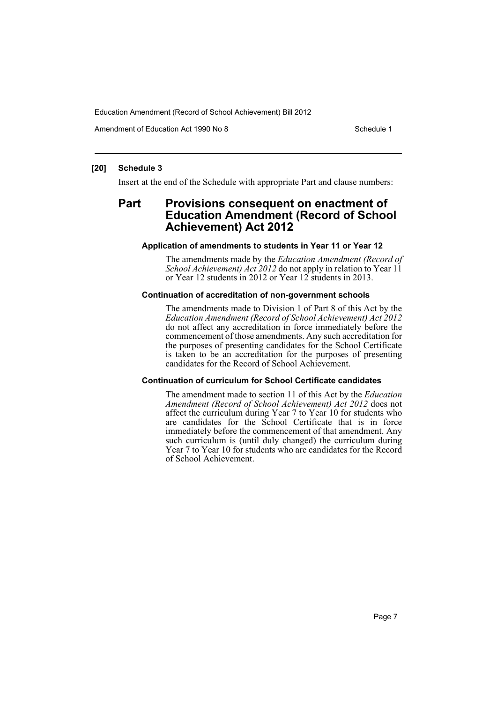Amendment of Education Act 1990 No 8 Schedule 1

#### **[20] Schedule 3**

Insert at the end of the Schedule with appropriate Part and clause numbers:

# **Part Provisions consequent on enactment of Education Amendment (Record of School Achievement) Act 2012**

#### **Application of amendments to students in Year 11 or Year 12**

The amendments made by the *Education Amendment (Record of School Achievement) Act 2012* do not apply in relation to Year 11 or Year 12 students in 2012 or Year 12 students in 2013.

#### **Continuation of accreditation of non-government schools**

The amendments made to Division 1 of Part 8 of this Act by the *Education Amendment (Record of School Achievement) Act 2012* do not affect any accreditation in force immediately before the commencement of those amendments. Any such accreditation for the purposes of presenting candidates for the School Certificate is taken to be an accreditation for the purposes of presenting candidates for the Record of School Achievement.

#### **Continuation of curriculum for School Certificate candidates**

The amendment made to section 11 of this Act by the *Education Amendment (Record of School Achievement) Act 2012* does not affect the curriculum during Year 7 to Year 10 for students who are candidates for the School Certificate that is in force immediately before the commencement of that amendment. Any such curriculum is (until duly changed) the curriculum during Year 7 to Year 10 for students who are candidates for the Record of School Achievement.